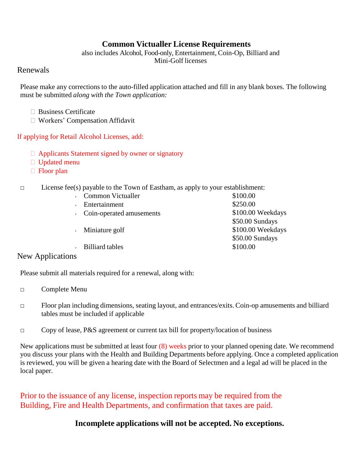# **Common Victualler License Requirements**

also includes Alcohol, Food-only, Entertainment, Coin-Op, Billiard and Mini-Golf licenses

### Renewals

Please make any corrections to the auto-filled application attached and fill in any blank boxes. The following must be submitted *along with the Town application:*

- $\Box$  Business Certificate
- Workers' Compensation Affidavit

#### If applying for Retail Alcohol Licenses, add:

- $\Box$  Applicants Statement signed by owner or signatory
- □ Updated menu
- $\Box$  Floor plan

#### $\Box$  License fee(s) payable to the Town of Eastham, as apply to your establishment:

| Common Victualler        | \$100.00          |
|--------------------------|-------------------|
| Entertainment            | \$250.00          |
| Coin-operated amusements | \$100.00 Weekdays |
|                          | \$50.00 Sundays   |
| Miniature golf           | \$100.00 Weekdays |
|                          | \$50.00 Sundays   |
| <b>Billiard tables</b>   | \$100.00          |

New Applications

Please submit all materials required for a renewal, along with:

- □ Complete Menu
- $\Box$  Floor plan including dimensions, seating layout, and entrances/exits. Coin-op amusements and billiard tables must be included if applicable
- $\Box$  Copy of lease, P&S agreement or current tax bill for property/location of business

New applications must be submitted at least four (8) weeks prior to your planned opening date. We recommend you discuss your plans with the Health and Building Departments before applying. Once a completed application is reviewed, you will be given a hearing date with the Board of Selectmen and a legal ad will be placed in the local paper.

Prior to the issuance of any license, inspection reports may be required from the Building, Fire and Health Departments, and confirmation that taxes are paid.

## **Incomplete applications will not be accepted. No exceptions.**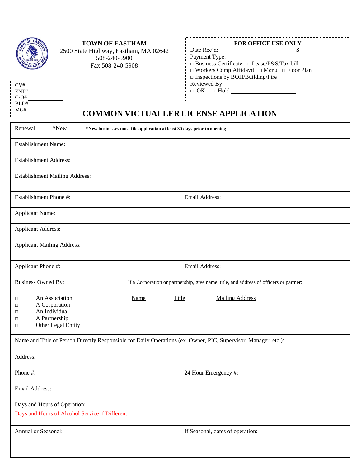| <b>TOWN OF EASTHAM</b><br>2500 State Highway, Eastham, MA 02642<br>508-240-5900<br>Fax 508-240-5908<br>$C-O#$    |                      | <b>FOR OFFICE USE ONLY</b><br>Date Rec'd:<br>\$<br>$\Box$ Business Certificate $\Box$ Lease/P&S/Tax bill<br>$\Box$ Workers Comp Affidavit $\Box$ Menu $\Box$ Floor Plan<br>$\square$ Inspections by BOH/Building/Fire<br>$\hfill \Box \hspace{2.9mm} OK \hspace{2.9mm} \Box \hspace{2.9mm} Hold \hspace{2.9mm} \underline{\hspace{2.8mm}}$<br><b>COMMON VICTUALLER LICENSE APPLICATION</b> |
|------------------------------------------------------------------------------------------------------------------|----------------------|--------------------------------------------------------------------------------------------------------------------------------------------------------------------------------------------------------------------------------------------------------------------------------------------------------------------------------------------------------------------------------------------|
| Renewal ______*New ________*New businesses must file application at least 30 days prior to opening               |                      |                                                                                                                                                                                                                                                                                                                                                                                            |
| <b>Establishment Name:</b>                                                                                       |                      |                                                                                                                                                                                                                                                                                                                                                                                            |
| <b>Establishment Address:</b>                                                                                    |                      |                                                                                                                                                                                                                                                                                                                                                                                            |
| <b>Establishment Mailing Address:</b>                                                                            |                      |                                                                                                                                                                                                                                                                                                                                                                                            |
| Establishment Phone #:                                                                                           |                      | Email Address:                                                                                                                                                                                                                                                                                                                                                                             |
| <b>Applicant Name:</b>                                                                                           |                      |                                                                                                                                                                                                                                                                                                                                                                                            |
| <b>Applicant Address:</b>                                                                                        |                      |                                                                                                                                                                                                                                                                                                                                                                                            |
| <b>Applicant Mailing Address:</b>                                                                                |                      |                                                                                                                                                                                                                                                                                                                                                                                            |
| Applicant Phone #:                                                                                               |                      | Email Address:                                                                                                                                                                                                                                                                                                                                                                             |
| <b>Business Owned By:</b>                                                                                        |                      | If a Corporation or partnership, give name, title, and address of officers or partner:                                                                                                                                                                                                                                                                                                     |
| An Association<br>□<br>A Corporation<br>□<br>An Individual<br>□<br>A Partnership<br>□<br>Other Legal Entity<br>□ | Title<br><b>Name</b> | <b>Mailing Address</b>                                                                                                                                                                                                                                                                                                                                                                     |
| Name and Title of Person Directly Responsible for Daily Operations (ex. Owner, PIC, Supervisor, Manager, etc.):  |                      |                                                                                                                                                                                                                                                                                                                                                                                            |
| Address:                                                                                                         |                      |                                                                                                                                                                                                                                                                                                                                                                                            |
| Phone #:                                                                                                         |                      | 24 Hour Emergency #:                                                                                                                                                                                                                                                                                                                                                                       |
| Email Address:                                                                                                   |                      |                                                                                                                                                                                                                                                                                                                                                                                            |
| Days and Hours of Operation:<br>Days and Hours of Alcohol Service if Different:                                  |                      |                                                                                                                                                                                                                                                                                                                                                                                            |
| Annual or Seasonal:                                                                                              |                      | If Seasonal, dates of operation:                                                                                                                                                                                                                                                                                                                                                           |
|                                                                                                                  |                      |                                                                                                                                                                                                                                                                                                                                                                                            |